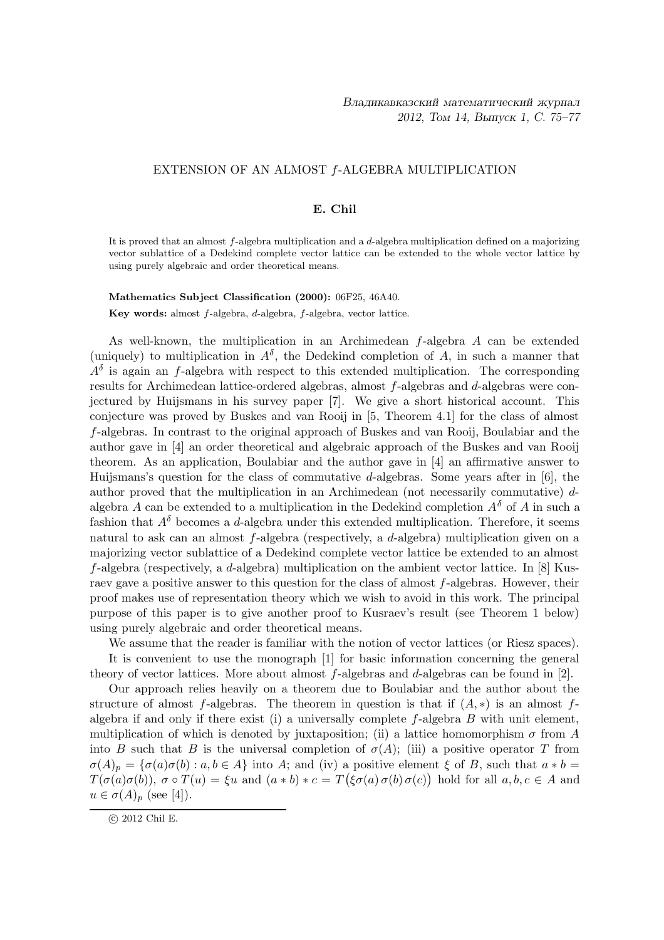# EXTENSION OF AN ALMOST f-ALGEBRA MULTIPLICATION

### E. Chil

It is proved that an almost f-algebra multiplication and a d-algebra multiplication defined on a majorizing vector sublattice of a Dedekind complete vector lattice can be extended to the whole vector lattice by using purely algebraic and order theoretical means.

Mathematics Subject Classification (2000): 06F25, 46A40.

Key words: almost f-algebra, d-algebra, f-algebra, vector lattice.

As well-known, the multiplication in an Archimedean f-algebra A can be extended (uniquely) to multiplication in  $A^{\delta}$ , the Dedekind completion of A, in such a manner that  $A^{\delta}$  is again an f-algebra with respect to this extended multiplication. The corresponding results for Archimedean lattice-ordered algebras, almost f-algebras and d-algebras were conjectured by Huijsmans in his survey paper [7]. We give a short historical account. This conjecture was proved by Buskes and van Rooij in [5, Theorem 4.1] for the class of almost f-algebras. In contrast to the original approach of Buskes and van Rooij, Boulabiar and the author gave in [4] an order theoretical and algebraic approach of the Buskes and van Rooij theorem. As an application, Boulabiar and the author gave in [4] an affirmative answer to Huijsmans's question for the class of commutative d-algebras. Some years after in  $[6]$ , the author proved that the multiplication in an Archimedean (not necessarily commutative) dalgebra A can be extended to a multiplication in the Dedekind completion  $A^{\delta}$  of A in such a fashion that  $A^{\delta}$  becomes a d-algebra under this extended multiplication. Therefore, it seems natural to ask can an almost f-algebra (respectively, a d-algebra) multiplication given on a majorizing vector sublattice of a Dedekind complete vector lattice be extended to an almost  $f$ -algebra (respectively, a d-algebra) multiplication on the ambient vector lattice. In [8] Kusraev gave a positive answer to this question for the class of almost f-algebras. However, their proof makes use of representation theory which we wish to avoid in this work. The principal purpose of this paper is to give another proof to Kusraev's result (see Theorem 1 below) using purely algebraic and order theoretical means.

We assume that the reader is familiar with the notion of vector lattices (or Riesz spaces). It is convenient to use the monograph [1] for basic information concerning the general theory of vector lattices. More about almost  $f$ -algebras and  $d$ -algebras can be found in [2].

Our approach relies heavily on a theorem due to Boulabiar and the author about the structure of almost f-algebras. The theorem in question is that if  $(A, *)$  is an almost falgebra if and only if there exist (i) a universally complete  $f$ -algebra  $B$  with unit element, multiplication of which is denoted by juxtaposition; (ii) a lattice homomorphism  $\sigma$  from A into B such that B is the universal completion of  $\sigma(A)$ ; (iii) a positive operator T from  $\sigma(A)_p = \{\sigma(a)\sigma(b) : a, b \in A\}$  into A; and (iv) a positive element  $\xi$  of B, such that  $a * b =$  $T(\sigma(a)\sigma(b)), \sigma \circ T(u) = \xi u$  and  $(a * b) * c = T(\xi \sigma(a) \sigma(b) \sigma(c))$  hold for all  $a, b, c \in A$  and  $u \in \sigma(A)_p$  (see [4]).

c 2012 Chil E.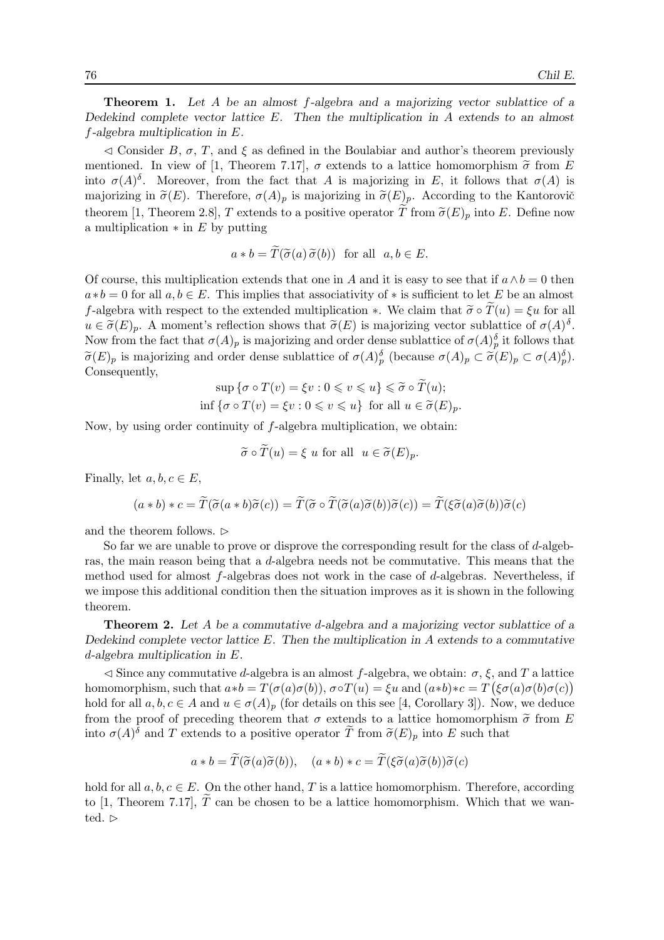**Theorem 1.** Let A be an almost  $f$ -algebra and a majorizing vector sublattice of a Dedekind complete vector lattice E. Then the multiplication in A extends to an almost f-algebra multiplication in E.

 $\leq$  Consider B,  $\sigma$ , T, and  $\xi$  as defined in the Boulabiar and author's theorem previously mentioned. In view of [1, Theorem 7.17],  $\sigma$  extends to a lattice homomorphism  $\tilde{\sigma}$  from E into  $\sigma(A)$ <sup>δ</sup>. Moreover, from the fact that A is majorizing in E, it follows that  $\sigma(A)$  is majorizing in  $\tilde{\sigma}(E)$ . Therefore,  $\sigma(A)_p$  is majorizing in  $\tilde{\sigma}(E)_p$ . According to the Kantorovič theorem [1, Theorem 2.8], T extends to a positive operator T from  $\tilde{\sigma}(E)_p$  into E. Define now a multiplication  $*$  in E by putting

$$
a * b = T(\tilde{\sigma}(a) \tilde{\sigma}(b))
$$
 for all  $a, b \in E$ .

Of course, this multiplication extends that one in A and it is easy to see that if  $a \wedge b = 0$  then  $a*b = 0$  for all  $a, b \in E$ . This implies that associativity of  $*$  is sufficient to let E be an almost f-algebra with respect to the extended multiplication  $\ast$ . We claim that  $\tilde{\sigma} \circ T(u) = \xi u$  for all  $u \in \tilde{\sigma}(E)_p$ . A moment's reflection shows that  $\tilde{\sigma}(E)$  is majorizing vector sublattice of  $\sigma(A)^{\delta}$ . Now from the fact that  $\sigma(A)_p$  is majorizing and order dense sublattice of  $\sigma(A)_p^{\delta}$  it follows that  $\widetilde{\sigma}(E)_p$  is majorizing and order dense sublattice of  $\sigma(A)_p^{\delta}$  (because  $\sigma(A)_p \subset \widetilde{\sigma}(E)_p \subset \sigma(A)_p^{\delta}$ ). Consequently,

$$
\sup \{\sigma \circ T(v) = \xi v : 0 \leq v \leq u\} \leq \tilde{\sigma} \circ T(u);
$$
  
inf  $\{\sigma \circ T(v) = \xi v : 0 \leq v \leq u\}$  for all  $u \in \tilde{\sigma}(E)_p$ .

Now, by using order continuity of f-algebra multiplication, we obtain:

$$
\widetilde{\sigma} \circ \widetilde{T}(u) = \xi \ u \text{ for all } \ u \in \widetilde{\sigma}(E)_p.
$$

Finally, let  $a, b, c \in E$ ,

$$
(a * b) * c = \widetilde{T}(\widetilde{\sigma}(a * b)\widetilde{\sigma}(c)) = \widetilde{T}(\widetilde{\sigma} \circ \widetilde{T}(\widetilde{\sigma}(a)\widetilde{\sigma}(b))\widetilde{\sigma}(c)) = \widetilde{T}(\xi\widetilde{\sigma}(a)\widetilde{\sigma}(b))\widetilde{\sigma}(c)
$$

and the theorem follows.  $\triangleright$ 

So far we are unable to prove or disprove the corresponding result for the class of d-algebras, the main reason being that a d-algebra needs not be commutative. This means that the method used for almost f-algebras does not work in the case of d-algebras. Nevertheless, if we impose this additional condition then the situation improves as it is shown in the following theorem.

Theorem 2. Let A be a commutative d-algebra and a majorizing vector sublattice of a Dedekind complete vector lattice  $E$ . Then the multiplication in  $A$  extends to a commutative d-algebra multiplication in E.

 $\leq$  Since any commutative d-algebra is an almost f-algebra, we obtain:  $\sigma$ ,  $\xi$ , and T a lattice homomorphism, such that  $a*b = T(\sigma(a)\sigma(b))$ ,  $\sigma \circ T(u) = \xi u$  and  $(a*b)*c = T(\xi \sigma(a)\sigma(b)\sigma(c))$ hold for all  $a, b, c \in A$  and  $u \in \sigma(A)_p$  (for details on this see [4, Corollary 3]). Now, we deduce from the proof of preceding theorem that  $\sigma$  extends to a lattice homomorphism  $\tilde{\sigma}$  from E into  $\sigma(A)$ <sup> $\delta$ </sup> and T extends to a positive operator  $\widetilde{T}$  from  $\widetilde{\sigma}(E)_p$  into E such that

$$
a * b = \tilde{T}(\tilde{\sigma}(a)\tilde{\sigma}(b)), \quad (a * b) * c = \tilde{T}(\xi\tilde{\sigma}(a)\tilde{\sigma}(b))\tilde{\sigma}(c)
$$

hold for all  $a, b, c \in E$ . On the other hand, T is a lattice homomorphism. Therefore, according to [1, Theorem 7.17],  $\tilde{T}$  can be chosen to be a lattice homomorphism. Which that we wanted.  $\triangleright$